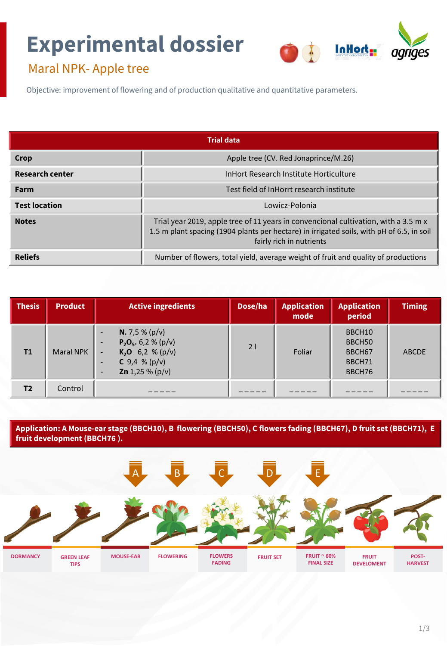# **Experimental dossier**



## Maral NPK- Apple tree

Objective: improvement of flowering and of production qualitative and quantitative parameters.

| <b>Trial data</b>      |                                                                                                                                                                                                              |  |  |  |
|------------------------|--------------------------------------------------------------------------------------------------------------------------------------------------------------------------------------------------------------|--|--|--|
| Crop                   | Apple tree (CV. Red Jonaprince/M.26)                                                                                                                                                                         |  |  |  |
| <b>Research center</b> | InHort Research Institute Horticulture                                                                                                                                                                       |  |  |  |
| Farm                   | Test field of InHorrt research institute                                                                                                                                                                     |  |  |  |
| <b>Test location</b>   | Lowicz-Polonia                                                                                                                                                                                               |  |  |  |
| <b>Notes</b>           | Trial year 2019, apple tree of 11 years in convencional cultivation, with a 3.5 m x<br>1.5 m plant spacing (1904 plants per hectare) in irrigated soils, with pH of 6.5, in soil<br>fairly rich in nutrients |  |  |  |
| <b>Reliefs</b>         | Number of flowers, total yield, average weight of fruit and quality of productions                                                                                                                           |  |  |  |

| <b>Thesis</b>  | <b>Product</b>   | <b>Active ingredients</b>                                                                                                                                     | Dose/ha | <b>Application</b><br>mode | <b>Application</b><br>period                               | <b>Timing</b> |
|----------------|------------------|---------------------------------------------------------------------------------------------------------------------------------------------------------------|---------|----------------------------|------------------------------------------------------------|---------------|
| T1             | <b>Maral NPK</b> | <b>N.</b> 7,5 % ( $p/v$ )<br>-<br>$P_2O_5$ , 6,2 % (p/v)<br>۰<br>$K_2O$ 6,2 % (p/v)<br>۰.<br><b>C</b> 9,4 % ( $p/v$ )<br>-<br><b>Zn</b> 1,25 % ( $p/v$ )<br>۰ | 21      | Foliar                     | BBCH10<br>BBCH50<br>BBCH <sub>67</sub><br>BBCH71<br>BBCH76 | <b>ABCDE</b>  |
| T <sub>2</sub> | Control          |                                                                                                                                                               |         |                            |                                                            |               |

**Application: A Mouse-ear stage (BBCH10), B flowering (BBCH50), C flowers fading (BBCH67), D fruit set (BBCH71), E fruit development (BBCH76 ).**

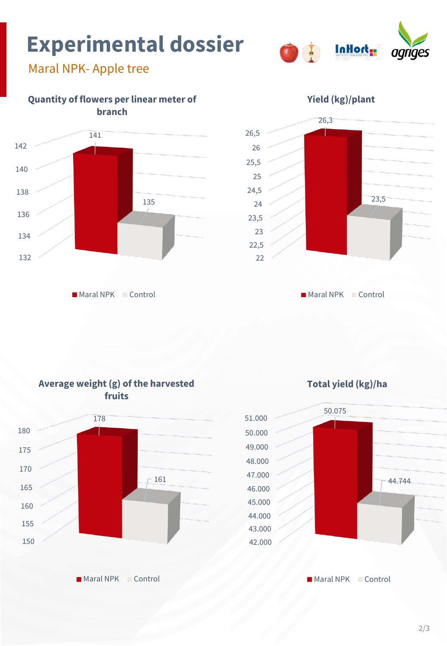## **Experimental dossier**



### Maral NPK- Apple tree



Maral NPK Control



**Maral NPK Control** 



**Maral NPK Control** 

**Average weight (g) of the harvested** 

**Total yield (kg)/ha** 



Maral NPK Control